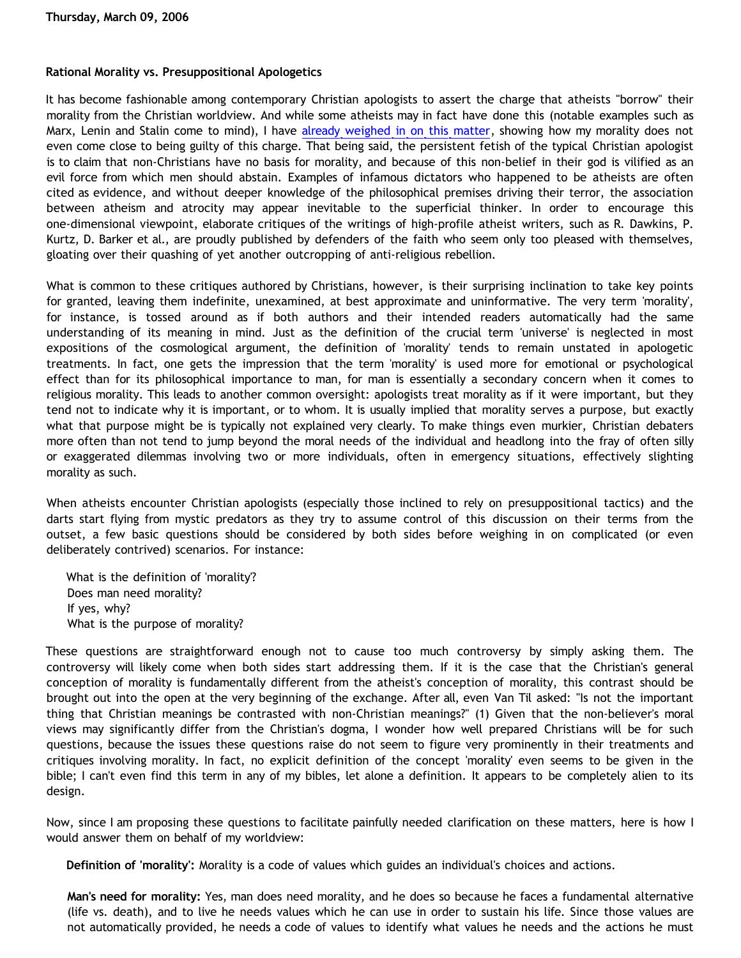## **Rational Morality vs. Presuppositional Apologetics**

It has become fashionable among contemporary Christian apologists to assert the charge that atheists "borrow" their morality from the Christian worldview. And while some atheists may in fact have done this (notable examples such as Marx, Lenin and Stalin come to mind), I have [already weighed in on this matter,](http://bahnsenburner.blogspot.com/2005/04/do-i-borrow-my-morality-from-christian.html) showing how my morality does not even come close to being guilty of this charge. That being said, the persistent fetish of the typical Christian apologist is to claim that non-Christians have no basis for morality, and because of this non-belief in their god is vilified as an evil force from which men should abstain. Examples of infamous dictators who happened to be atheists are often cited as evidence, and without deeper knowledge of the philosophical premises driving their terror, the association between atheism and atrocity may appear inevitable to the superficial thinker. In order to encourage this one-dimensional viewpoint, elaborate critiques of the writings of high-profile atheist writers, such as R. Dawkins, P. Kurtz, D. Barker et al., are proudly published by defenders of the faith who seem only too pleased with themselves, gloating over their quashing of yet another outcropping of anti-religious rebellion.

What is common to these critiques authored by Christians, however, is their surprising inclination to take key points for granted, leaving them indefinite, unexamined, at best approximate and uninformative. The very term 'morality', for instance, is tossed around as if both authors and their intended readers automatically had the same understanding of its meaning in mind. Just as the definition of the crucial term 'universe' is neglected in most expositions of the cosmological argument, the definition of 'morality' tends to remain unstated in apologetic treatments. In fact, one gets the impression that the term 'morality' is used more for emotional or psychological effect than for its philosophical importance to man, for man is essentially a secondary concern when it comes to religious morality. This leads to another common oversight: apologists treat morality as if it were important, but they tend not to indicate why it is important, or to whom. It is usually implied that morality serves a purpose, but exactly what that purpose might be is typically not explained very clearly. To make things even murkier, Christian debaters more often than not tend to jump beyond the moral needs of the individual and headlong into the fray of often silly or exaggerated dilemmas involving two or more individuals, often in emergency situations, effectively slighting morality as such.

When atheists encounter Christian apologists (especially those inclined to rely on presuppositional tactics) and the darts start flying from mystic predators as they try to assume control of this discussion on their terms from the outset, a few basic questions should be considered by both sides before weighing in on complicated (or even deliberately contrived) scenarios. For instance:

What is the definition of 'morality'? Does man need morality? If yes, why? What is the purpose of morality?

These questions are straightforward enough not to cause too much controversy by simply asking them. The controversy will likely come when both sides start addressing them. If it is the case that the Christian's general conception of morality is fundamentally different from the atheist's conception of morality, this contrast should be brought out into the open at the very beginning of the exchange. After all, even Van Til asked: "Is not the important thing that Christian meanings be contrasted with non-Christian meanings?" (1) Given that the non-believer's moral views may significantly differ from the Christian's dogma, I wonder how well prepared Christians will be for such questions, because the issues these questions raise do not seem to figure very prominently in their treatments and critiques involving morality. In fact, no explicit definition of the concept 'morality' even seems to be given in the bible; I can't even find this term in any of my bibles, let alone a definition. It appears to be completely alien to its design.

Now, since I am proposing these questions to facilitate painfully needed clarification on these matters, here is how I would answer them on behalf of my worldview:

**Definition of 'morality':** Morality is a code of values which guides an individual's choices and actions.

**Man's need for morality:** Yes, man does need morality, and he does so because he faces a fundamental alternative (life vs. death), and to live he needs values which he can use in order to sustain his life. Since those values are not automatically provided, he needs a code of values to identify what values he needs and the actions he must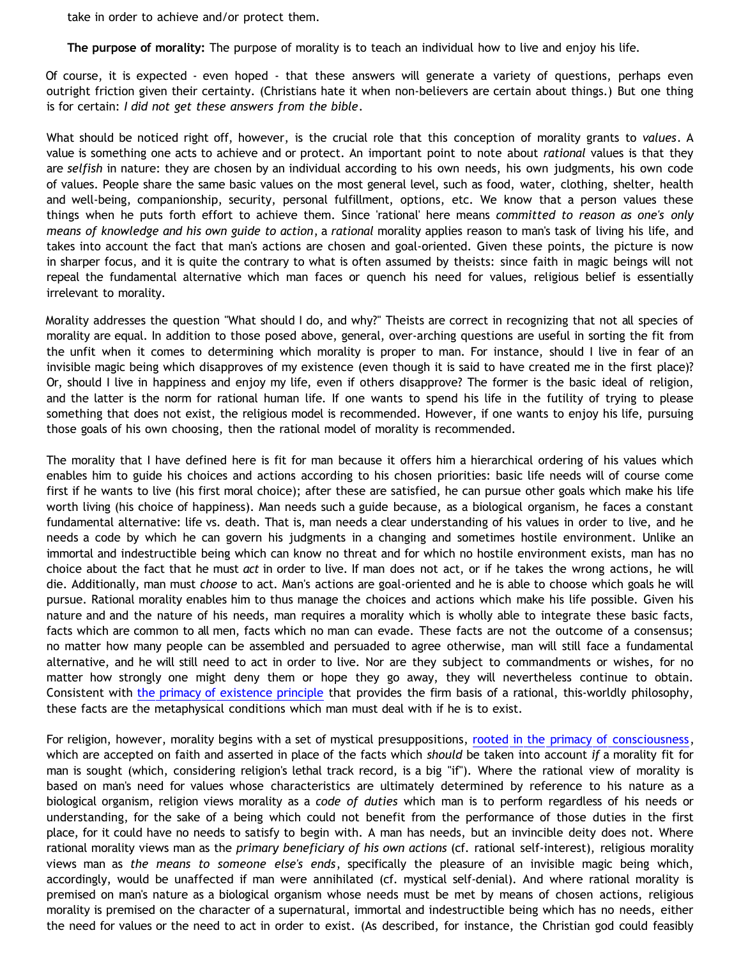take in order to achieve and/or protect them.

**The purpose of morality:** The purpose of morality is to teach an individual how to live and enjoy his life.

Of course, it is expected - even hoped - that these answers will generate a variety of questions, perhaps even outright friction given their certainty. (Christians hate it when non-believers are certain about things.) But one thing is for certain: *I did not get these answers from the bible*.

What should be noticed right off, however, is the crucial role that this conception of morality grants to *values*. A value is something one acts to achieve and or protect. An important point to note about *rational* values is that they are *selfish* in nature: they are chosen by an individual according to his own needs, his own judgments, his own code of values. People share the same basic values on the most general level, such as food, water, clothing, shelter, health and well-being, companionship, security, personal fulfillment, options, etc. We know that a person values these things when he puts forth effort to achieve them. Since 'rational' here means *committed to reason as one's only means of knowledge and his own guide to action*, a *rational* morality applies reason to man's task of living his life, and takes into account the fact that man's actions are chosen and goal-oriented. Given these points, the picture is now in sharper focus, and it is quite the contrary to what is often assumed by theists: since faith in magic beings will not repeal the fundamental alternative which man faces or quench his need for values, religious belief is essentially irrelevant to morality.

Morality addresses the question "What should I do, and why?" Theists are correct in recognizing that not all species of morality are equal. In addition to those posed above, general, over-arching questions are useful in sorting the fit from the unfit when it comes to determining which morality is proper to man. For instance, should I live in fear of an invisible magic being which disapproves of my existence (even though it is said to have created me in the first place)? Or, should I live in happiness and enjoy my life, even if others disapprove? The former is the basic ideal of religion, and the latter is the norm for rational human life. If one wants to spend his life in the futility of trying to please something that does not exist, the religious model is recommended. However, if one wants to enjoy his life, pursuing those goals of his own choosing, then the rational model of morality is recommended.

The morality that I have defined here is fit for man because it offers him a hierarchical ordering of his values which enables him to guide his choices and actions according to his chosen priorities: basic life needs will of course come first if he wants to live (his first moral choice); after these are satisfied, he can pursue other goals which make his life worth living (his choice of happiness). Man needs such a guide because, as a biological organism, he faces a constant fundamental alternative: life vs. death. That is, man needs a clear understanding of his values in order to live, and he needs a code by which he can govern his judgments in a changing and sometimes hostile environment. Unlike an immortal and indestructible being which can know no threat and for which no hostile environment exists, man has no choice about the fact that he must *act* in order to live. If man does not act, or if he takes the wrong actions, he will die. Additionally, man must *choose* to act. Man's actions are goal-oriented and he is able to choose which goals he will pursue. Rational morality enables him to thus manage the choices and actions which make his life possible. Given his nature and and the nature of his needs, man requires a morality which is wholly able to integrate these basic facts, facts which are common to all men, facts which no man can evade. These facts are not the outcome of a consensus; no matter how many people can be assembled and persuaded to agree otherwise, man will still face a fundamental alternative, and he will still need to act in order to live. Nor are they subject to commandments or wishes, for no matter how strongly one might deny them or hope they go away, they will nevertheless continue to obtain. Consistent with [the primacy of existence principle](http://www.geocities.com/katholon/poe.htm) that provides the firm basis of a rational, this-worldly philosophy, these facts are the metaphysical conditions which man must deal with if he is to exist.

For religion, however, morality begins with a set of mystical presuppositions, [rooted in the primacy of consciousness](http://www.geocities.com/katholon/DBvPM1005.htm), which are accepted on faith and asserted in place of the facts which *should* be taken into account *if* a morality fit for man is sought (which, considering religion's lethal track record, is a big "if"). Where the rational view of morality is based on man's need for values whose characteristics are ultimately determined by reference to his nature as a biological organism, religion views morality as a *code of duties* which man is to perform regardless of his needs or understanding, for the sake of a being which could not benefit from the performance of those duties in the first place, for it could have no needs to satisfy to begin with. A man has needs, but an invincible deity does not. Where rational morality views man as the *primary beneficiary of his own actions* (cf. rational self-interest), religious morality views man as *the means to someone else's ends*, specifically the pleasure of an invisible magic being which, accordingly, would be unaffected if man were annihilated (cf. mystical self-denial). And where rational morality is premised on man's nature as a biological organism whose needs must be met by means of chosen actions, religious morality is premised on the character of a supernatural, immortal and indestructible being which has no needs, either the need for values or the need to act in order to exist. (As described, for instance, the Christian god could feasibly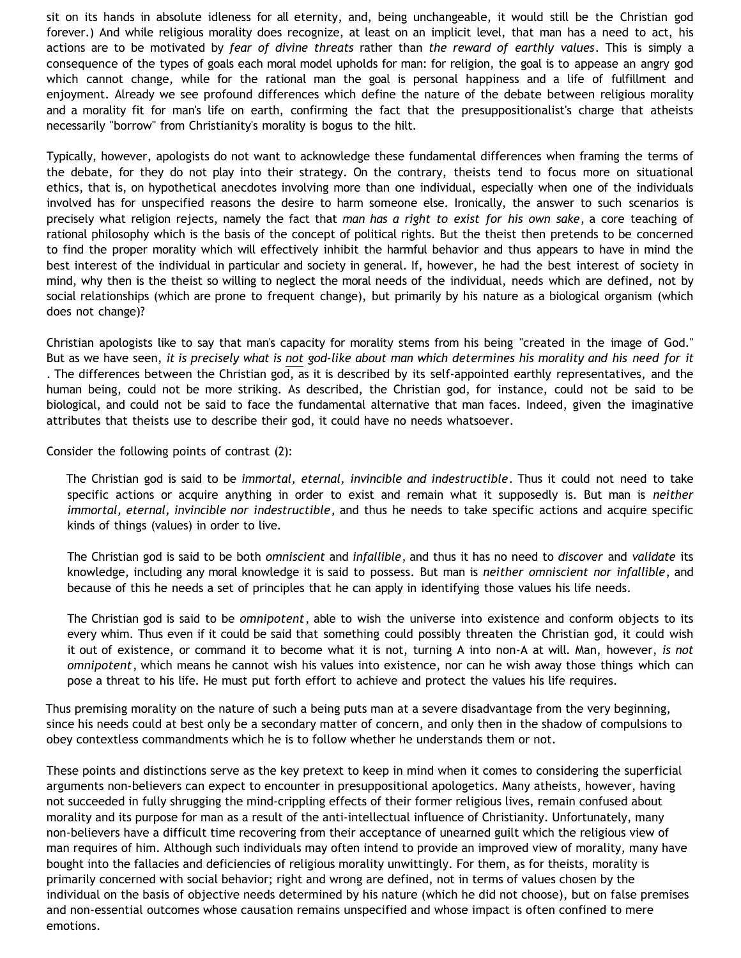sit on its hands in absolute idleness for all eternity, and, being unchangeable, it would still be the Christian god forever.) And while religious morality does recognize, at least on an implicit level, that man has a need to act, his actions are to be motivated by *fear of divine threats* rather than *the reward of earthly values*. This is simply a consequence of the types of goals each moral model upholds for man: for religion, the goal is to appease an angry god which cannot change, while for the rational man the goal is personal happiness and a life of fulfillment and enjoyment. Already we see profound differences which define the nature of the debate between religious morality and a morality fit for man's life on earth, confirming the fact that the presuppositionalist's charge that atheists necessarily "borrow" from Christianity's morality is bogus to the hilt.

Typically, however, apologists do not want to acknowledge these fundamental differences when framing the terms of the debate, for they do not play into their strategy. On the contrary, theists tend to focus more on situational ethics, that is, on hypothetical anecdotes involving more than one individual, especially when one of the individuals involved has for unspecified reasons the desire to harm someone else. Ironically, the answer to such scenarios is precisely what religion rejects, namely the fact that *man has a right to exist for his own sake*, a core teaching of rational philosophy which is the basis of the concept of political rights. But the theist then pretends to be concerned to find the proper morality which will effectively inhibit the harmful behavior and thus appears to have in mind the best interest of the individual in particular and society in general. If, however, he had the best interest of society in mind, why then is the theist so willing to neglect the moral needs of the individual, needs which are defined, not by social relationships (which are prone to frequent change), but primarily by his nature as a biological organism (which does not change)?

Christian apologists like to say that man's capacity for morality stems from his being "created in the image of God." But as we have seen, *it is precisely what is not god-like about man which determines his morality and his need for it* . The differences between the Christian god, as it is described by its self-appointed earthly representatives, and the human being, could not be more striking. As described, the Christian god, for instance, could not be said to be biological, and could not be said to face the fundamental alternative that man faces. Indeed, given the imaginative attributes that theists use to describe their god, it could have no needs whatsoever.

Consider the following points of contrast (2):

The Christian god is said to be *immortal, eternal, invincible and indestructible*. Thus it could not need to take specific actions or acquire anything in order to exist and remain what it supposedly is. But man is *neither immortal, eternal, invincible nor indestructible*, and thus he needs to take specific actions and acquire specific kinds of things (values) in order to live.

The Christian god is said to be both *omniscient* and *infallible*, and thus it has no need to *discover* and *validate* its knowledge, including any moral knowledge it is said to possess. But man is *neither omniscient nor infallible*, and because of this he needs a set of principles that he can apply in identifying those values his life needs.

The Christian god is said to be *omnipotent*, able to wish the universe into existence and conform objects to its every whim. Thus even if it could be said that something could possibly threaten the Christian god, it could wish it out of existence, or command it to become what it is not, turning A into non-A at will. Man, however, *is not omnipotent*, which means he cannot wish his values into existence, nor can he wish away those things which can pose a threat to his life. He must put forth effort to achieve and protect the values his life requires.

Thus premising morality on the nature of such a being puts man at a severe disadvantage from the very beginning, since his needs could at best only be a secondary matter of concern, and only then in the shadow of compulsions to obey contextless commandments which he is to follow whether he understands them or not.

These points and distinctions serve as the key pretext to keep in mind when it comes to considering the superficial arguments non-believers can expect to encounter in presuppositional apologetics. Many atheists, however, having not succeeded in fully shrugging the mind-crippling effects of their former religious lives, remain confused about morality and its purpose for man as a result of the anti-intellectual influence of Christianity. Unfortunately, many non-believers have a difficult time recovering from their acceptance of unearned guilt which the religious view of man requires of him. Although such individuals may often intend to provide an improved view of morality, many have bought into the fallacies and deficiencies of religious morality unwittingly. For them, as for theists, morality is primarily concerned with social behavior; right and wrong are defined, not in terms of values chosen by the individual on the basis of objective needs determined by his nature (which he did not choose), but on false premises and non-essential outcomes whose causation remains unspecified and whose impact is often confined to mere emotions.